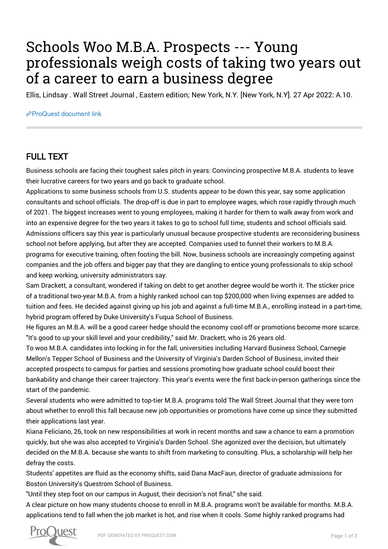## Schools Woo M.B.A. Prospects --- Young professionals weigh costs of taking two years out of a career to earn a business degree

Ellis, Lindsay . Wall Street Journal , Eastern edition; New York, N.Y. [New York, N.Y]. 27 Apr 2022: A.10.

[ProQuest document link](https://www.proquest.com/newspapers/schools-woo-m-b-prospects-young-professionals/docview/2655432476/se-2?accountid=44910)

## FULL TEXT

Business schools are facing their toughest sales pitch in years: Convincing prospective M.B.A. students to leave their lucrative careers for two years and go back to graduate school.

Applications to some business schools from U.S. students appear to be down this year, say some application consultants and school officials. The drop-off is due in part to employee wages, which rose rapidly through much of 2021. The biggest increases went to young employees, making it harder for them to walk away from work and into an expensive degree for the two years it takes to go to school full time, students and school officials said. Admissions officers say this year is particularly unusual because prospective students are reconsidering business school not before applying, but after they are accepted. Companies used to funnel their workers to M.B.A. programs for executive training, often footing the bill. Now, business schools are increasingly competing against companies and the job offers and bigger pay that they are dangling to entice young professionals to skip school and keep working, university administrators say.

Sam Drackett, a consultant, wondered if taking on debt to get another degree would be worth it. The sticker price of a traditional two-year M.B.A. from a highly ranked school can top \$200,000 when living expenses are added to tuition and fees. He decided against giving up his job and against a full-time M.B.A., enrolling instead in a part-time, hybrid program offered by Duke University's Fuqua School of Business.

He figures an M.B.A. will be a good career hedge should the economy cool off or promotions become more scarce. "It's good to up your skill level and your credibility," said Mr. Drackett, who is 26 years old.

To woo M.B.A. candidates into locking in for the fall, universities including Harvard Business School, Carnegie Mellon's Tepper School of Business and the University of Virginia's Darden School of Business, invited their accepted prospects to campus for parties and sessions promoting how graduate school could boost their bankability and change their career trajectory. This year's events were the first back-in-person gatherings since the start of the pandemic.

Several students who were admitted to top-tier M.B.A. programs told The Wall Street Journal that they were torn about whether to enroll this fall because new job opportunities or promotions have come up since they submitted their applications last year.

Kiana Feliciano, 26, took on new responsibilities at work in recent months and saw a chance to earn a promotion quickly, but she was also accepted to Virginia's Darden School. She agonized over the decision, but ultimately decided on the M.B.A. because she wants to shift from marketing to consulting. Plus, a scholarship will help her defray the costs.

Students' appetites are fluid as the economy shifts, said Dana MacFaun, director of graduate admissions for Boston University's Questrom School of Business.

"Until they step foot on our campus in August, their decision's not final," she said.

A clear picture on how many students choose to enroll in M.B.A. programs won't be available for months. M.B.A. applications tend to fall when the job market is hot, and rise when it cools. Some highly ranked programs had

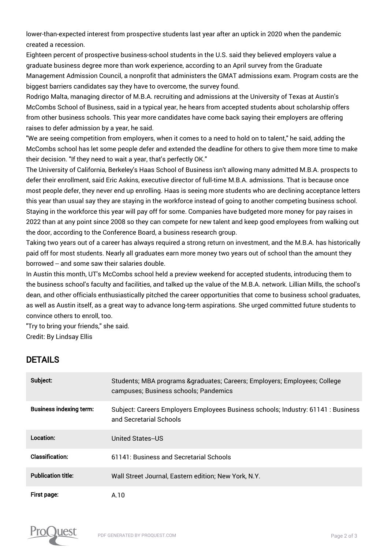lower-than-expected interest from prospective students last year after an uptick in 2020 when the pandemic created a recession.

Eighteen percent of prospective business-school students in the U.S. said they believed employers value a graduate business degree more than work experience, according to an April survey from the Graduate Management Admission Council, a nonprofit that administers the GMAT admissions exam. Program costs are the biggest barriers candidates say they have to overcome, the survey found.

Rodrigo Malta, managing director of M.B.A. recruiting and admissions at the University of Texas at Austin's McCombs School of Business, said in a typical year, he hears from accepted students about scholarship offers from other business schools. This year more candidates have come back saying their employers are offering raises to defer admission by a year, he said.

"We are seeing competition from employers, when it comes to a need to hold on to talent," he said, adding the McCombs school has let some people defer and extended the deadline for others to give them more time to make their decision. "If they need to wait a year, that's perfectly OK."

The University of California, Berkeley's Haas School of Business isn't allowing many admitted M.B.A. prospects to defer their enrollment, said Eric Askins, executive director of full-time M.B.A. admissions. That is because once most people defer, they never end up enrolling. Haas is seeing more students who are declining acceptance letters this year than usual say they are staying in the workforce instead of going to another competing business school. Staying in the workforce this year will pay off for some. Companies have budgeted more money for pay raises in 2022 than at any point since 2008 so they can compete for new talent and keep good employees from walking out the door, according to the Conference Board, a business research group.

Taking two years out of a career has always required a strong return on investment, and the M.B.A. has historically paid off for most students. Nearly all graduates earn more money two years out of school than the amount they borrowed -- and some saw their salaries double.

In Austin this month, UT's McCombs school held a preview weekend for accepted students, introducing them to the business school's faculty and facilities, and talked up the value of the M.B.A. network. Lillian Mills, the school's dean, and other officials enthusiastically pitched the career opportunities that come to business school graduates, as well as Austin itself, as a great way to advance long-term aspirations. She urged committed future students to convince others to enroll, too.

"Try to bring your friends," she said. Credit: By Lindsay Ellis

## DETAILS

| Subject:                       | Students; MBA programs & graduates; Careers; Employers; Employees; College<br>campuses; Business schools; Pandemics |
|--------------------------------|---------------------------------------------------------------------------------------------------------------------|
| <b>Business indexing term:</b> | Subject: Careers Employers Employees Business schools; Industry: 61141 : Business<br>and Secretarial Schools        |
| Location:                      | United States-US                                                                                                    |
| Classification:                | 61141: Business and Secretarial Schools                                                                             |
| <b>Publication title:</b>      | Wall Street Journal, Eastern edition; New York, N.Y.                                                                |
| First page:                    | A.10                                                                                                                |